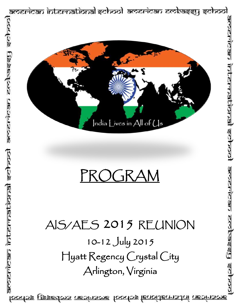

<u>loodos ussedos aeoinsoe toodos lenoitennstni neoinsoe</u>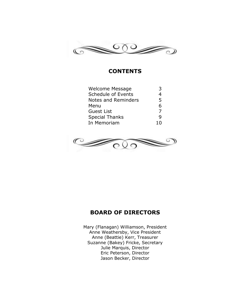

# **CONTENTS**

| <b>Welcome Message</b> | 2  |
|------------------------|----|
| Schedule of Events     | 4  |
| Notes and Reminders    | 5  |
| Menu                   | 6  |
| <b>Guest List</b>      | 7  |
| <b>Special Thanks</b>  | q  |
| In Memoriam            | 10 |
|                        |    |



# **BOARD OF DIRECTORS**

Mary (Flanagan) Williamson, President Anne Weathersby, Vice President Anne (Beattie) Kerr, Treasurer Suzanne (Bakey) Fricke, Secretary Julie Marquis, Director Eric Peterson, Director Jason Becker, Director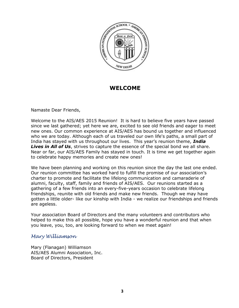

# **WELCOME**

Namaste Dear Friends,

Welcome to the AIS/AES 2015 Reunion! It is hard to believe five years have passed since we last gathered; yet here we are, excited to see old friends and eager to meet new ones. Our common experience at AIS/AES has bound us together and influenced who we are today. Although each of us traveled our own life's paths, a small part of India has stayed with us throughout our lives. This year's reunion theme, *India Lives in All of Us*, strives to capture the essence of the special bond we all share. Near or far, our AIS/AES Family has stayed in touch. It is time we get together again to celebrate happy memories and create new ones!

We have been planning and working on this reunion since the day the last one ended. Our reunion committee has worked hard to fulfill the promise of our association's charter to promote and facilitate the lifelong communication and camaraderie of alumni, faculty, staff, family and friends of AIS/AES. Our reunions started as a gathering of a few friends into an every-five-years occasion to celebrate lifelong friendships, reunite with old friends and make new friends. Though we may have gotten a little older- like our kinship with India - we realize our friendships and friends are ageless.

Your association Board of Directors and the many volunteers and contributors who helped to make this all possible, hope you have a wonderful reunion and that when you leave, you, too, are looking forward to when we meet again!

# *Mary Williamson*

Mary (Flanagan) Williamson AIS/AES Alumni Association, Inc. Board of Directors, President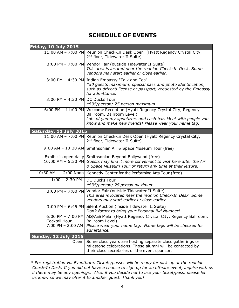# **SCHEDULE OF EVENTS**

| <b>Friday, 10 July 2015</b>        |                                                                                                                                                                                                                                |
|------------------------------------|--------------------------------------------------------------------------------------------------------------------------------------------------------------------------------------------------------------------------------|
| 11:00 AM - 7:00 PM                 | Reunion Check-In Desk Open (Hyatt Regency Crystal City,<br>2 <sup>nd</sup> floor, Tidewater II Suite)                                                                                                                          |
|                                    | 3:00 PM - 7:00 PM Vendor Fair (outside Tidewater II Suite)<br>This area is located near the reunion Check-In Desk. Some<br>vendors may start earlier or close earlier.                                                         |
|                                    | 3:00 PM - 4:30 PM Indian Embassy "Talk and Tea"<br>*50 guests maximum; special pass and photo identification,<br>such as driver's license or passport, requested by the Embassy<br>for admittance.                             |
| 3:00 PM - 4:30 PM DC Ducks Tour    | *\$35/person; 25 person maximum                                                                                                                                                                                                |
|                                    | 6:00 PM - 11:00 PM Welcome Reception (Hyatt Regency Crystal City, Regency<br>Ballroom, Ballroom Level)<br>Lots of yummy appetizers and cash bar. Meet with people you<br>know and make new friends! Please wear your name tag. |
| Saturday, 11 July 2015             |                                                                                                                                                                                                                                |
|                                    | 11:00 AM - 7:00 PM Reunion Check-In Desk Open (Hyatt Regency Crystal City,<br>2 <sup>nd</sup> floor, Tidewater II Suite)                                                                                                       |
|                                    | 9:00 AM - 10:30 AM Smithsonian Air & Space Museum Tour (free)                                                                                                                                                                  |
|                                    | Exhibit is open daily Smithsonian Beyond Bollywood (free)<br>10:00 AM - 5:30 PM Guests may find it more convenient to visit here after the Air<br>& Space Museum Tour or return any time at their leisure.                     |
|                                    | 10:30 AM - 12:00 Noon   Kennedy Center for the Performing Arts Tour (free)                                                                                                                                                     |
| $1:00 - 2:30$ PM                   | <b>DC Ducks Tour</b><br>*\$35/person; 25 person maximum                                                                                                                                                                        |
|                                    | 3:00 PM - 7:00 PM Vendor Fair (outside Tidewater II Suite)<br>This area is located near the reunion Check-In Desk. Some<br>vendors may start earlier or close earlier.                                                         |
|                                    | 3:00 PM - 6:45 PM Silent Auction (inside Tidewater II Suite)<br>Don't forget to bring your Personal Bid Number!                                                                                                                |
| Cocktail Hour<br>7:00 PM - 2:00 AM | 6:00 PM - 7:00 PM AIS/AES Mela! (Hyatt Regency Crystal City, Regency Ballroom,<br>Ballroom Level)<br>Please wear your name tag. Name tags will be checked for<br>admittance.                                                   |
| <b>Sunday, 12 July 2015</b>        |                                                                                                                                                                                                                                |
| Open                               | Some class years are hosting separate class gatherings or<br>milestone celebrations. Those alumni will be contacted by<br>their class secretaries or the event sponsor.                                                        |

*\* Pre-registration via Eventbrite. Tickets/passes will be ready for pick-up at the reunion Check-In Desk. If you did not have a chance to sign up for an off-site event, inquire with us if there may be any openings. Also, if you decide not to use your ticket/pass, please let us know so we may offer it to another guest. Thank you!*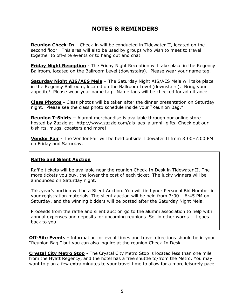# **NOTES & REMINDERS**

**Reunion Check-In** - Check-in will be conducted in Tidewater II, located on the second floor. This area will also be used by groups who wish to meet to travel together to off-site events or to hang out and chat.

**Friday Night Reception** - The Friday Night Reception will take place in the Regency Ballroom, located on the Ballroom Level (downstairs). Please wear your name tag.

**Saturday Night AIS/AES Mela** - The Saturday Night AIS/AES Mela will take place in the Regency Ballroom, located on the Ballroom Level (downstairs). Bring your appetite! Please wear your name tag. Name tags will be checked for admittance.

**Class Photos -** Class photos will be taken after the dinner presentation on Saturday night. Please see the class photo schedule inside your "Reunion Bag."

**Reunion T-Shirts –** Alumni merchandise is available through our online store hosted by Zazzle at: [http://www.zazzle.com/ais\\_aes\\_alumni+gifts.](http://www.zazzle.com/ais_aes_alumni+gifts) Check out our t-shirts, mugs, coasters and more!

**Vendor Fair** - The Vendor Fair will be held outside Tidewater II from 3:00–7:00 PM on Friday and Saturday.

# **Raffle and Silent Auction**

Raffle tickets will be available near the reunion Check-In Desk in Tidewater II. The more tickets you buy, the lower the cost of each ticket. The lucky winners will be announced on Saturday night.

This year's auction will be a Silent Auction. You will find your Personal Bid Number in your registration materials. The silent auction will be held from 3:00 – 6:45 PM on Saturday, and the winning bidders will be posted after the Saturday Night Mela.

Proceeds from the raffle and silent auction go to the alumni association to help with annual expenses and deposits for upcoming reunions. So, in other words – it goes back to you.

**Off-Site Events -** Information for event times and travel directions should be in your "Reunion Bag," but you can also inquire at the reunion Check-In Desk.

**Crystal City Metro Stop** - The Crystal City Metro Stop is located less than one mile from the Hyatt Regency, and the hotel has a free shuttle to/from the Metro. You may want to plan a few extra minutes to your travel time to allow for a more leisurely pace.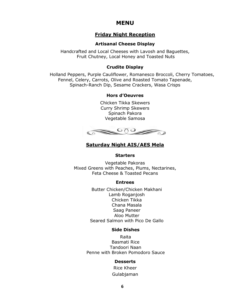# **MENU**

# **Friday Night Reception**

## **Artisanal Cheese Display**

Handcrafted and Local Cheeses with Lavosh and Baguettes, Fruit Chutney, Local Honey and Toasted Nuts

## **Crudite Display**

Holland Peppers, Purple Cauliflower, Romanesco Broccoli, Cherry Tomatoes, Fennel, Celery, Carrots, Olive and Roasted Tomato Tapenade, Spinach-Ranch Dip, Sesame Crackers, Wasa Crisps

## **Hors d'Oeuvres**

Chicken Tikka Skewers Curry Shrimp Skewers Spinach Pakora Vegetable Samosa



# **Saturday Night AIS/AES Mela**

### **Starters**

Vegetable Pakoras Mixed Greens with Peaches, Plums, Nectarines, Feta Cheese & Toasted Pecans

## **Entrees**

Butter Chicken/Chicken Makhani Lamb Roganjosh Chicken Tikka Chana Masala Saag Paneer Aloo Mutter Seared Salmon with Pico De Gallo

## **Side Dishes**

Raita Basmati Rice Tandoori Naan Penne with Broken Pomodoro Sauce

## **Desserts**

Rice Kheer Gulabjaman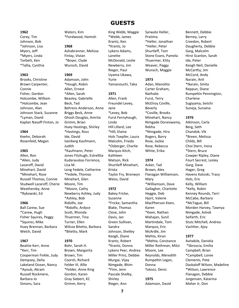### **1962**

Corey, Tim Johnson, Bob \*Johnson, Lisa Myers, Jeff \*Myers, Linda Torbett, Ken \*Tallia, Cynthia

#### **1963**

Brooks, Christine Brown Carpenter, Connie Fisher, Gordon Holcombe, William \*Holcombe, Jean Johnson, Alan Johnson Stack, Suzanne \*Lyman, David Kaplan Nasoff-Finton, Jo

#### **1964**

Keehn, Deborah Rosenfeld, Megan

#### **1965**

Allen, Ron \*Allen, Judy Lazaroff, David Minehart, David \*Minehart, Rose Russell Thomas, Connie Studwell Lazaroff, Cherie Weathersby, Anne \*Rykowski, Ed

#### **1966**

Ball Carew, Sue \*Carew, Hugh Fisher Squires, Peggy \*Squires, Mike Huey Brennan, Barbara Welch, David

#### **1967**

Beattie Kerr, Anne \*Kerr, Tim Cooperman Finkle, Judy Dempsey, Delia Lakeland Ocean, Nancy \*Ayoub, Akram Russell Rockmere, Barbara Jo Simons, Sara

Waters, Kim \*Fordwood, Hamish

#### **1968**

Ashabranner, Melissa Finlay, Vivian \*Boyer, Clyde Wunsch, David

#### **1969**

Adamson, John \*Hough, Robin Allen, Ernest \*Allen, Sarah Beasley, Gabrielle Beck, Ted Behrens Anderson, Anne Briggs Beck, Anne Ghosh Douglas, Amrita Grimm, Brian Huey Hastings, Shirley \*Hastings, Ross Ide, David Isenberg Kaufmann, Judith \*Kaufmann, Peter Jones Fitzhugh, Estrellita Kudarauskas Forrence, Lisa M. Leng Fedele, Catherine \*Fedele, Thomas Minehart, Glen Moore, Tim

\*Moore, Cathy Newberry Ashley, Judy \*Ashley, Bob Ridolfo, Joe \*Ridolfo, Ardyce Scott, Rhonda Thuermer, Tina Turner, Ellen Wilcox Bitetto, Barbara \*Bitetto, Mark

**1970** Bohr, Sarah H. Brown, Margarita Brown, Tim Coorsh, Richard Felder III, Allie \*Felder, Anne King Gordon, Karen Gray Siebert, KC Grimm, Kerry

**GUESTS** 

King Webb, Maggie \*Webb, James Krantz, Ken \*Krantz, Jo Lykens Adams, Lanette McDonald, Leslie Newberry, Jim Rieger, Paul Uyama Ukawa, Yurie Yamanouchi, Taka

#### **1971**

Allen, Frank Freundel Levey, Jane \*Levey, Bob Furst Fernyhough, Linda Hill Lillard, Lee \*Hill, Elaine Hols Toepfer, Laura Malcolm, Frieda \*Osberger, Charlie Marquis Kitch, Kathleen Matson, Rick Shurtleff Minehart, Krista Taylor Fry, Bronwyn Weiss, David

#### **1972**

Bakey Fricke, Suzanne \*Fricke, Samantha Blake, Thomas Close, John Davis, Jan Green Sullivan, Sandra Johnson, Shelley Keogh, Diane Krantz, Robert \*Krantz, Donna Lykens Peer, Andrea Miller Prinz, Debbie Murgai, Vijay Nimgade, Bhim \*Finn, Jenn Pascale Shelby, Shirley Rieger, Ann

Sarwate Heller, Pratima \*Heller, Jonathan \*Heller, Peter Shurtleff, Tom Stone Evans, Pamela Thuermer, Kitty Weaver, Peggy Wunsch, Maggie

#### **1973**

Adan, Manolito Carter Graham, Nathalie Furst, Terry McElroy Coville, Beverly \*Coville, Brooks Minehart, Nancy Nimgade Doraiswamy, Rekha \*Nimgade, Hira Rogers, Barry Rose, Jackie Rose, Rebecca White, Erika

#### **1974**

Acker, Tad Brown, Alex Flanagan Williamson, Mary \*Williamson, Dave Gallagher, Charlotte Heggie, Deb Hjort, Valerie MacPherson Keen, Karen \*Keen, Nathan Mahajan, Sunil Martindale, Tom Marquis, Eric McArdle, Jim Mehta, Kiran \*Mehta, Constance Miller Rothman, Mitzi Moore, Lee Reynolds, Meredith Rumpeltin Legan, Donna Toksoz, Deniz

#### **1975**

Adamson, David

Bennett, Debbie Berney, Larry Creedon, Robert Daugherty, Debbie Garg, Malcolm Hirst Scanlon, Sarah Ide, Peter Keogh Neil, Danielle McCarthy, Jim McCord, Andy Narain, Anil \*Narain, Smita Reppun, Diane Rumpeltin Pennington, Charlene Sugiyama, Seiichi Suneja, Sunaina

#### **1976**

Atkinson, Carla Berg, Seth Chandok, Vik \*Breen, Melissa Childs, Bill Choi Stern, Irena \*Stern, Bruce Cowper Ripley, Diane Fourt Secrest, Lesley Garg, Dave Hager, Greg Havens Katoski, Tracy Hols, Eric Kelly, William \*Kelly, Robin Kenney Rounds, Terri McCabe, Barbara \*McTague, Bill Morden Harvey, Tawnya Nimgade, Ashok Seifarth, Eric Stutz Mitchell, Andrea Vachher, Ajoy

#### **1977**

Avitabile, Daniela \*Sbroscia, Emilia Campbell, Brian \*Campbell, Loree Clements, Pete Daskaloff Wilson, Madeline \*Wilson, Lawrence Flanagan, Debbie Jorgensen, Katarina Maher Jr, Don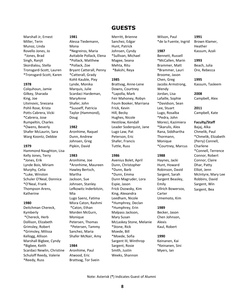# **GUESTS**

Marshall Jr, Ernest Miller, Terin Munoz, Linda Rovello Jones, Jo \*Jones, Brad Singh, Ranjit Skordialou, Stella Tronsgard-Scott, Lauren \*Tronsgard-Scott, Karen

#### **1978**

Colquhoun, Jamie Gilkey, Sharada King, Joe Litvinovic, Snezana Pohli Rose, Krista Potts Cabrera, Vicki \*Cabrera, Jose Rumpeltin, Charles \*Owens, Beverly Shafer McLaurin, Sara Warg Koontz, Debbie

#### **1979**

Hammond Naughton, Lisa Kelly Jones, Terry \*Jones, Erik Lynde Bois, Miriam Murphy, Celia \*Luke, Winston Schuler O'Neal, Donnica \*O'Neal, Frank Thompson Arens, Katherine

### **1980**

Deitchman Chereck, Kymberly \*Chereck, Herb Dollison, Elizabeth Grimsley, Robert \*Grimsley, Milissa Kellogg, Allison Marshall Bigbee, Cyndy \*Bigbee, Keith Scardaci Newlin, Christine Schuloff Reedy, Valerie \*Reedy, Russ

#### **1981** Alessa Tiedemann, Mona

\*Negreiros, Maria Avitabile Pollack, Elena \*Pollack, Matthew \*Pollack, Zoe Bryant Catterall, Penny \*Catterall, Grady Kohli Kauble, Pixy Lynde, Monika Marquis, Julie Scardaci Hardeman, MaryAnne Shafer, John \*Susoeff, Patricia Taylor (Hammond), Doug

#### **1982**

Aronhime, Raquel Dunn, Andrew Johnsen, Greg Pipkin, David

#### **1983**

Aronhime, Joe \*Aronhime, Maureen Hawley Bertsch, Martha Jackson, Sue Johnsen, Stanley Lefkowitz Inderbitzin, Mia Lugo Saenz, Fatima Misra Caton, Rashmi \*Caton, Ethan Morden McGurn, Monique Petersen, Thomas \*Petersen, Tammy Sanchez, Maria Shafer McNair, Amy

### **1984**

Aronhime, Paul Atwood, Eric Brattvag, Tor Svein Merritt, Brienne Sanchez, Edgar Hunt, Patrick Johnsen, Cyndy \*Sullivan, Michael Magee, Seana Mehta, Ritu \*Bakshi, Reya

#### **1985**

Brattvag, Anne-Lene Downs, Courtney \*Lapolla, Mark Feir Mahoney, Robyn Foum Booker, Marriana Frick, Kevin Hill, Becky Hughes, Nicole Hestilow, Kendall Leader Soderquist, Jane Lugo Law, Pat Peterson, Eric Shafer, Francis Tuttle, Russ

#### **1986**

Avenius Bolet, April Dunn, Christopher \*Dunn, Barb \*Dunn, Emma Dunn Magruder, Lora Espie, Jason Frick Osowsky, Kim King, Alexandra Leedham, Nicole \*Humphrey, Declan \*Humphrey, Erin Malpass Jackson, Mary Susan McLaskey Stone, Melanie \*Stone, Rick Moede, Bill \*Moede, Sofia Sargent III, Winthrop Sargent, Rosie Smith, Justin Weeks, Shannon

Wilson, Paul \*de la Fuente, Ingrid

### **1987**

Bennett, Russell \*McCallen, Marin Brammer, Matt \*Brammer, Lauri Broome, Jason Chen, Greg Jacobs Armstrong, Wendy Jordan, Lisa Lafaille, Sophie \*Davidson, Sean Lee, Stuart Lugo, Rosalba \*Pedra, John Moreci, Kazimiera \*Skarulis, Alex Rana, Siddhartha Thormann, Monique \*Courtney, Marcus

#### **1988**

Haynes, Jacki Hunt, Howard Robinson, David Sargent, Sarah Sargent Beasley, Emily Ullrich Bowersox, Carter Umemoto, Kim

### **1989**

Becker, Jason Chen Johnson, Alexis Kaul, Robert

### **1990**

Keinanen, Kai \*Keinanen, Sini Myers, Ian

# **1991**

Brown Klamer, Heather Kassum, Azali

#### **1993**

Beach, Julia Ore, Rebecca

#### **1995** Kassum, Tasleem

**2008** Campbell, Alex

### **2011**

Campbell, Kate

## **Faculty/Staff**

Bajaj, Alka Chmelik, Paul \*Chmelik, Elizabeth (Perry) Connell, Charlene \*Connell, Terrence Connor, Robert Connor, Claire Dhar, Patty Elliot, Jenn McIntyre, Mary Lee Robbins, David Sargent, Win Sargent, Bea

Note: Asterisk (**\***) Indicates Guest of Alumni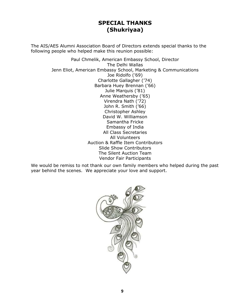# **SPECIAL THANKS (Shukriyaa)**

The AIS/AES Alumni Association Board of Directors extends special thanks to the following people who helped make this reunion possible:

> Paul Chmelik, American Embassy School, Director The Delhi Wallas Jenn Eliot, American Embassy School, Marketing & Communications Joe Ridolfo ('69) Charlotte Gallagher ('74) Barbara Huey Brennan ('66) Julie Marquis ('81) Anne Weathersby ('65) Virendra Nath ('72) John R. Smith ('66) Christopher Ashley David W. Williamson Samantha Fricke Embassy of India All Class Secretaries All Volunteers Auction & Raffle Item Contributors Slide Show Contributors The Silent Auction Team Vendor Fair Participants

We would be remiss to not thank our own family members who helped during the past year behind the scenes. We appreciate your love and support.

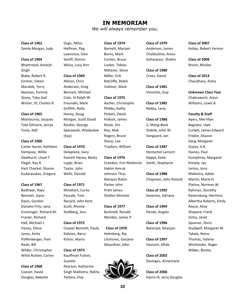# **IN MEMORIAM**

*We will always remember you.*

**Class of 1962**

Zemla Morgan, Judy

#### **Class of 1964**

Bhamroyal, Amarjit Singh [Blake, Robert R.](http://aisaes.org/Obituaries.2.htm#robertblake) Emmer, Eileen Marable, Terry [Noonan, Tommy](http://aisaes.org/Obituaries.3.htm#TNoonan) Stone, Toby Gail [Winter, III; Charles R.](http://aisaes.org/Obituaries.2.htm#CRWinter3)

#### **Class of 1965**

[Montouroy, Jacques](http://aisaes.org/Obituaries.1.htm#jacquesmontouroy) Tate Gilmore, Jerrye Yunis, Adil

#### **Class of 1966**

[Carter Aaron, Kathleen](http://aisaes.org/Obituaries.1.htm#kathleencarteraaron) Dempsey, Willie [Dewhurst, Lloyd T.](http://aisaes.org/Obituaries.3.htm#LTDewhurst) Flegel, Ray R. [Hart Chackel, Sharon](http://aisaes.org/Obituaries.1.htm#sharonhartchackel) Kudarauskas, Gregory

#### **Class of 1967**

[Badhwar, Rajiv](http://aisaes.org/Obituaries.1.htm#rajivbadhwar) Bennett, Joyce Davis, Gordon [Donaho Fritz, Jana](http://aisaes.org/Obituaries.1.htm#janadonahofritz) Ensminger, Richard M. Frazier, Richard Hall, Michael J. Haney, Elissa [Jones, Anita](http://aisaes.org/Obituaries.3.htm) Poffenberger, Pam Raski, Bill Wilder, Christopher [Witte Rutten, Carien](http://aisaes.org/Obituaries.1.htm#carienwitterutten)

#### **Class of 1968**

Coover, David [Douglas, Babette](http://aisaes.org/Obituaries.3.htm#babettedouglas) Grgic, Milos Halfman, Peg [Lawrence, Glen](http://aisaes.org/Obituaries.1.htm#glenlawrence) [Seniff, Dennis](http://aisaes.org/Obituaries.1.htm#dennisseniff)

# Weisz, Lucy Ann **Class of 1969**

Allison, Chris [Anderson, Greg](http://aisaes.org/Obituaries.3.htm#greganderson) Bennett, Michael Cote, III Ralph W. [Freundel, Mark](http://aisaes.org/Obituaries.1.htm#markfreundel) [Griffith, Rolla](http://aisaes.org/Obituaries.1.htm#rollagriffith) [Haney, Doug](http://aisaes.org/Obituaries.2.htm#DHaney) [Morgan, Scott David](http://aisaes.org/Obituaries.2.htm#SDMorgan) [Ronkin, George](http://aisaes.org/Obituaries.3.htm#GeorgeRonkin) Spasowski, Wladyslaw

#### **Class of 1970**

(Kay)

Delaplane, Gary [Everett Haney, Becky](http://aisaes.org/Obituaries.2.htm#BeckyHaneyTribute) Luppi, Brian Taylor, John Wells, Donald

#### **Class of 1971**

[Minehart, Curtis](http://aisaes.org/Obituaries.1.htm#curtisminehart) [Pascale, Tom](http://aisaes.org/Obituaries.1.htm#tompascale) Ranard, [John Kent](http://aisaes.org/Obituaries.1.htm#johnkentranard) [Scott, Rhonie](http://aisaes.org/Obituaries.1.htm#rhoniescott) Stollberg, Jess

#### **Class of 1972**

Coover Bennett, Paula Kidston, Barry Kirton, Mario

#### **Class of 1973**

[Kauffman Fulton,](http://aisaes.org/Obituaries.3.htm#SGKFulton)  [Suzette](http://aisaes.org/Obituaries.3.htm#SGKFulton) [Pearson, Katharine](http://aisaes.org/Obituaries.1.htm#katharinepearson) Singh Malhotra, Rekha Tettero, Elsa

Barnett, Mariam [Burns, Mark](http://aisaes.org/Obituaries.3.htm#markburns) Conlon, Bruce [Lucker, Tobias](http://aisaes.org/Obituaries.1.htm#tobylucker) Metzner, Steve Miller, Erik Ratcliffe, Robin [Vollmer, Mark](http://aisaes.org/Obituaries.1.htm#markvollmer)

**Class of 1974**

# Ascher, Christophe Phibbs, Kathy Pickett, David Pollock, James [Rizzie, Jim](http://aisaes.org/Obituaries.2.htm#JimRizzie) Roy, Alok [Rogers, Bruce](http://aisaes.org/Obituaries.2.htm#brucerogers) Sharp, Lee

**Class of 1975**

Trayfors, William

#### **Class of 1976**

[Creedon, Erin McKenzie](http://aisaes.org/Obituaries.2.htm#ECreedon) Hakim Amruk Johnson Titus [Marquis Robin](http://aisaes.org/Obituaries.2.htm#robinmarquis) Parker John Pratt James Shallon Michele

**Class of 1977** Bushnell, Ronald Morden, James P.

**Class of 1978** Holmberg, Rip Litvinovic, Gorjana Moynihan, John



## **Class of 1979** Anderson, James Chalikulima, Amos Goharpour, Shahin

**Class of 1980** Crees, David

**Class of 1981** Vincente, Gup

**Class of 1982** [Nekby, Lena](http://aisaes.org/Obituaries.3.htm#lenanekby)

## **Class of 1986** [Ji, Meng-Bock](http://aisaes.org/Obituaries.1.htm#mengbockji) [Stabile, John W.](http://aisaes.org/Obituaries.3.htm#johnwstabile)  Vangaard, Jan

**Class of 1987** [Hentschel Lamont](http://aisaes.org/Obituaries.1.htm#katiehentschel)  [Kippel, Katie](http://aisaes.org/Obituaries.1.htm#katiehentschel) Smith, [Stephanie](http://aisaes.org/Obituaries.1.htm#stephaniesmith)

**Class of 1988** Chapman, John Roland

**Class of 1992** [Severino, Adriana](http://aisaes.org/Obituaries.2.htm#adrianaseverino)

**Class of 1994** [Pande, Angela](http://aisaes.org/Obituaries.3.htm#angelapande)

**Class of 1996** Banerjee, Nilanjan

**Class of 1997** Hasnain, Aftab

**Class of 2002** [Desloges, Annemarie](http://aisaes.org/Obituaries.2.htm#AMDesloges)

**Class of 2006** Harris III, Jerry Douglas **Class of 2007** [Astley, Robert Vernon](http://aisaes.org/Obituaries.2.htm#RVAstley)

**Class of 2008** [Broun, Nicolas](http://aisaes.org/Obituaries.3.htm#NicolasBroun)

**Class of 2014** [Chaudhary, Aisha](http://aisaes.org/Obituaries.3.htm#aishachaudhary)

**Unknown Class Year** Chakrawarti, Arjun Williams, Lewis B.

**Faculty & Staff** Ayers, Merrillyn Bagnato, Uwe [Curlett, James Edward](http://aisaes.org/Obituaries.2.htm#jamesedwardcurlett) [Frisbie, Aliazon](http://aisaes.org/Obituaries.1.htm#aliazonfrisbie) Garg, Margaret Gupta, A.R. Haines, Paul Humphrey, Margaret Knisely, Jay Leriou, Iona Malhotra, Adele [Martin, Marie H.](http://aisaes.org/Obituaries.1.htm#mariemartin) Platine, Norman W. Rahman, Dorothy Ravensburg, Hermina Albertha Roberts, Emily Royce, Alice [Shepard, Frank](http://aisaes.org/Obituaries.1.htm#frankshepard) Sinha, Janet Spooner, Doris Studwell, Margaret W. [Takala, Reino](http://aisaes.org/Obituaries.1.htm#reinotakala) Thomas, Valerie Wicklander, Roger [Wilder, Bosley](http://aisaes.org/Obituaries.1.htm#bosleywilder)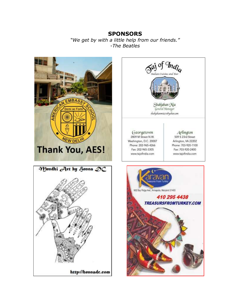# **SPONSORS**  *"We get by with a little help from our friends." -The Beatles*